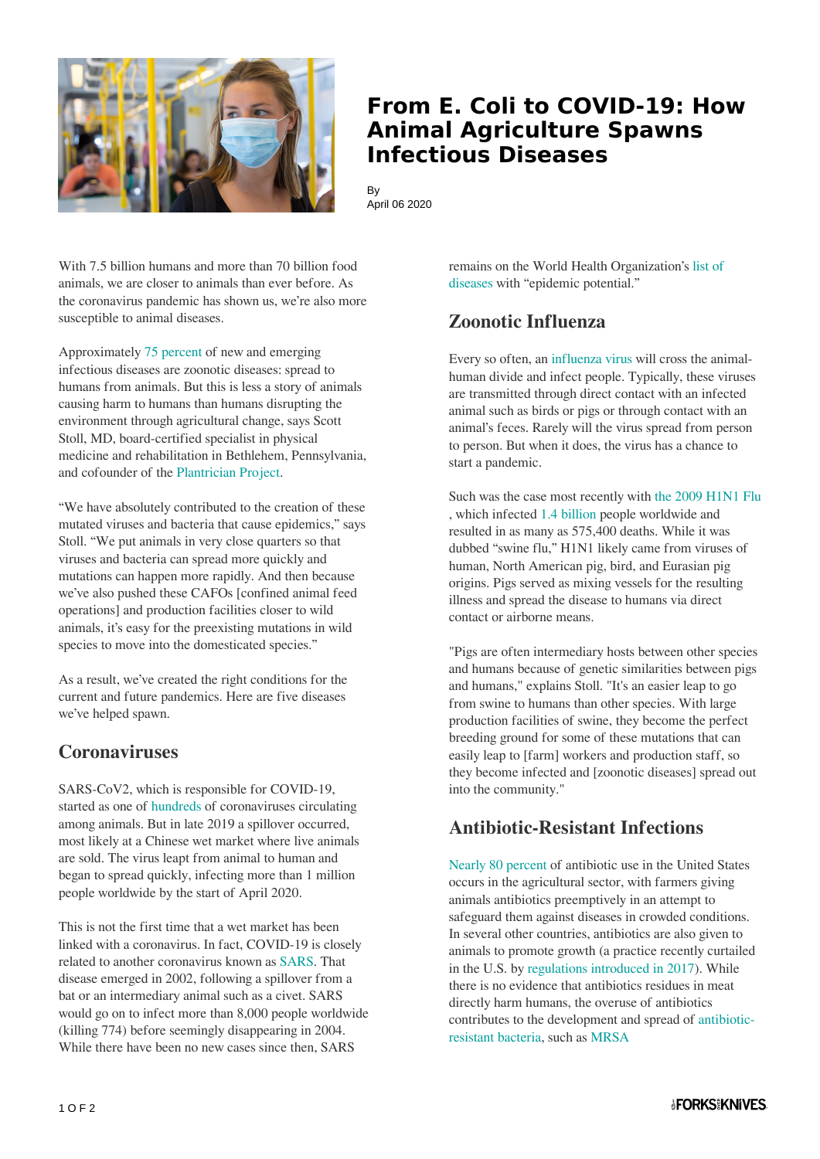

## **From E. Coli to COVID-19: How Animal Agriculture Spawns Infectious Diseases**

By April 06 2020

With 7.5 billion humans and more than 70 billion food animals, we are closer to animals than ever before. As the coronavirus pandemic has shown us, we're also more susceptible to animal diseases.

Approximately [75 percent](https://www.usda.gov/nbaf) of new and emerging infectious diseases are zoonotic diseases: spread to humans from animals. But this is less a story of animals causing harm to humans than humans disrupting the environment through agricultural change, says Scott Stoll, MD, board-certified specialist in physical medicine and rehabilitation in Bethlehem, Pennsylvania, and cofounder of the [Plantrician Project](https://plantricianproject.org/).

"We have absolutely contributed to the creation of these mutated viruses and bacteria that cause epidemics," says Stoll. "We put animals in very close quarters so that viruses and bacteria can spread more quickly and mutations can happen more rapidly. And then because we've also pushed these CAFOs [confined animal feed operations] and production facilities closer to wild animals, it's easy for the preexisting mutations in wild species to move into the domesticated species."

As a result, we've created the right conditions for the current and future pandemics. Here are five diseases we've helped spawn.

#### **Coronaviruses**

SARS-CoV2, which is responsible for COVID-19, started as one of [hundreds o](https://www.niaid.nih.gov/diseases-conditions/coronaviruses)f coronaviruses circulating among animals. But in late 2019 a spillover occurred, most likely at a Chinese wet market where live animals are sold. The virus leapt from animal to human and began to spread quickly, infecting more than 1 million people worldwide by the start of April 2020.

This is not the first time that a wet market has been linked with a coronavirus. In fact, COVID-19 is closely related to another coronavirus known as [SARS.](https://www.cdc.gov/sars/about/fs-sars.html) That disease emerged in 2002, following a spillover from a bat or an intermediary animal such as a civet. SARS would go on to infect more than 8,000 people worldwide (killing 774) before seemingly disappearing in 2004. While there have been no new cases since then, SARS

remains on the World Health Organization's [list of](https://www.who.int/activities/prioritizing-diseases-for-research-and-development-in-emergency-contexts) [diseases](https://www.who.int/activities/prioritizing-diseases-for-research-and-development-in-emergency-contexts) with "epidemic potential."

### **Zoonotic Influenza**

Every so often, an [influenza virus](https://www.cdc.gov/flu/about/viruses/index.htm) will cross the animalhuman divide and infect people. Typically, these viruses are transmitted through direct contact with an infected animal such as birds or pigs or through contact with an animal's feces. Rarely will the virus spread from person to person. But when it does, the virus has a chance to start a pandemic.

Such was the case most recently with [the 2009 H1N1 Flu](https://www.cdc.gov/h1n1flu/information_h1n1_virus_qa.htm#a) , which infected [1.4 billion](https://www.livescience.com/covid-19-pandemic-vs-swine-flu.html) people worldwide and resulted in as many as 575,400 deaths. While it was dubbed "swine flu," H1N1 likely came from viruses of human, North American pig, bird, and Eurasian pig origins. Pigs served as mixing vessels for the resulting illness and spread the disease to humans via direct contact or airborne means.

"Pigs are often intermediary hosts between other species and humans because of genetic similarities between pigs and humans," explains Stoll. "It's an easier leap to go from swine to humans than other species. With large production facilities of swine, they become the perfect breeding ground for some of these mutations that can easily leap to [farm] workers and production staff, so they become infected and [zoonotic diseases] spread out into the community."

### **Antibiotic-Resistant Infections**

[Nearly 80 percent](https://www.medicalnewstoday.com/articles/323639#Global-use-of-antibiotics-in-animals) of antibiotic use in the United States occurs in the agricultural sector, with farmers giving animals antibiotics preemptively in an attempt to safeguard them against diseases in crowded conditions. In several other countries, antibiotics are also given to animals to promote growth (a practice recently curtailed in the U.S. by [regulations introduced in 2017](https://www.fda.gov/media/83488/download)). While there is no evidence that antibiotics residues in meat directly harm humans, the overuse of antibiotics contributes to the development and spread of [antibiotic](https://www.forksoverknives.com/antibiotic-resistant-bacteria-found-in-majority-of-supermarket-meat/)[resistant bacteria](https://www.forksoverknives.com/antibiotic-resistant-bacteria-found-in-majority-of-supermarket-meat/), such as [MRSA](https://www.cdc.gov/mrsa/index.html)